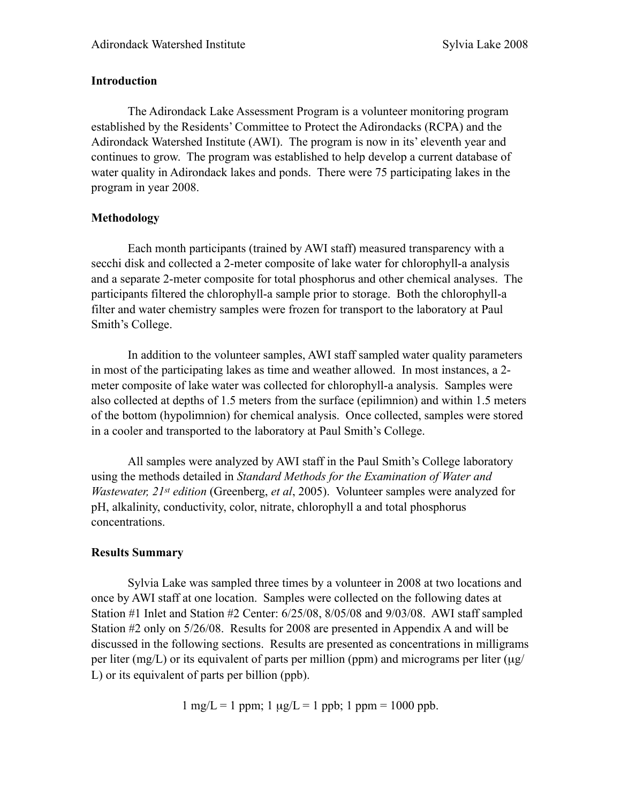## **Introduction**

The Adirondack Lake Assessment Program is a volunteer monitoring program established by the Residents' Committee to Protect the Adirondacks (RCPA) and the Adirondack Watershed Institute (AWI). The program is now in its' eleventh year and continues to grow. The program was established to help develop a current database of water quality in Adirondack lakes and ponds. There were 75 participating lakes in the program in year 2008.

## **Methodology**

Each month participants (trained by AWI staff) measured transparency with a secchi disk and collected a 2-meter composite of lake water for chlorophyll-a analysis and a separate 2-meter composite for total phosphorus and other chemical analyses. The participants filtered the chlorophyll-a sample prior to storage. Both the chlorophyll-a filter and water chemistry samples were frozen for transport to the laboratory at Paul Smith's College.

In addition to the volunteer samples, AWI staff sampled water quality parameters in most of the participating lakes as time and weather allowed. In most instances, a 2 meter composite of lake water was collected for chlorophyll-a analysis. Samples were also collected at depths of 1.5 meters from the surface (epilimnion) and within 1.5 meters of the bottom (hypolimnion) for chemical analysis. Once collected, samples were stored in a cooler and transported to the laboratory at Paul Smith's College.

All samples were analyzed by AWI staff in the Paul Smith's College laboratory using the methods detailed in *Standard Methods for the Examination of Water and Wastewater, 21st edition* (Greenberg, *et al*, 2005). Volunteer samples were analyzed for pH, alkalinity, conductivity, color, nitrate, chlorophyll a and total phosphorus concentrations.

## **Results Summary**

Sylvia Lake was sampled three times by a volunteer in 2008 at two locations and once by AWI staff at one location. Samples were collected on the following dates at Station #1 Inlet and Station #2 Center: 6/25/08, 8/05/08 and 9/03/08. AWI staff sampled Station #2 only on 5/26/08. Results for 2008 are presented in Appendix A and will be discussed in the following sections. Results are presented as concentrations in milligrams per liter (mg/L) or its equivalent of parts per million (ppm) and micrograms per liter ( $\mu$ g/ L) or its equivalent of parts per billion (ppb).

 $1 \text{ mg/L} = 1 \text{ ppm}; 1 \text{ ug/L} = 1 \text{ ppb}; 1 \text{ ppm} = 1000 \text{ ppb}.$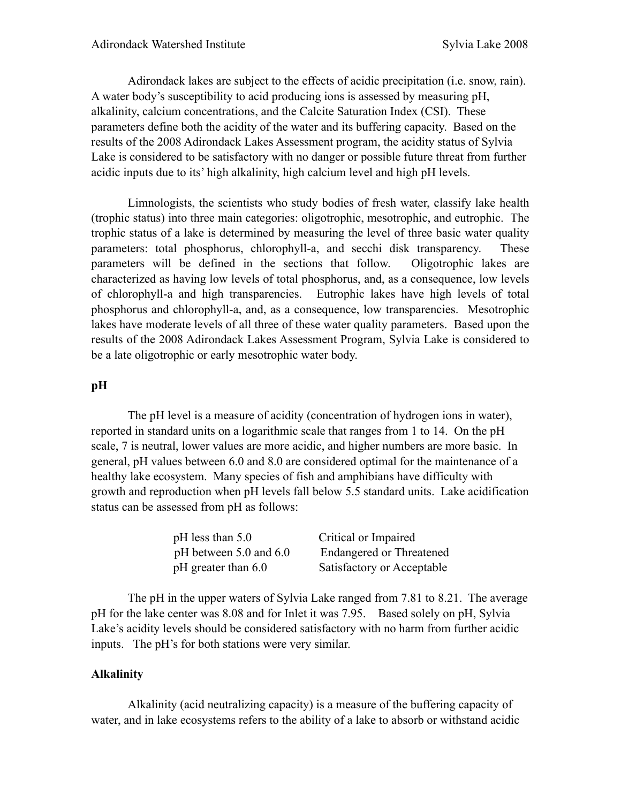Adirondack lakes are subject to the effects of acidic precipitation (i.e. snow, rain). A water body's susceptibility to acid producing ions is assessed by measuring pH, alkalinity, calcium concentrations, and the Calcite Saturation Index (CSI). These parameters define both the acidity of the water and its buffering capacity. Based on the results of the 2008 Adirondack Lakes Assessment program, the acidity status of Sylvia Lake is considered to be satisfactory with no danger or possible future threat from further acidic inputs due to its' high alkalinity, high calcium level and high pH levels.

Limnologists, the scientists who study bodies of fresh water, classify lake health (trophic status) into three main categories: oligotrophic, mesotrophic, and eutrophic. The trophic status of a lake is determined by measuring the level of three basic water quality parameters: total phosphorus, chlorophyll-a, and secchi disk transparency. These parameters will be defined in the sections that follow. Oligotrophic lakes are characterized as having low levels of total phosphorus, and, as a consequence, low levels of chlorophyll-a and high transparencies. Eutrophic lakes have high levels of total phosphorus and chlorophyll-a, and, as a consequence, low transparencies. Mesotrophic lakes have moderate levels of all three of these water quality parameters. Based upon the results of the 2008 Adirondack Lakes Assessment Program, Sylvia Lake is considered to be a late oligotrophic or early mesotrophic water body.

## **pH**

The pH level is a measure of acidity (concentration of hydrogen ions in water), reported in standard units on a logarithmic scale that ranges from 1 to 14. On the pH scale, 7 is neutral, lower values are more acidic, and higher numbers are more basic. In general, pH values between 6.0 and 8.0 are considered optimal for the maintenance of a healthy lake ecosystem. Many species of fish and amphibians have difficulty with growth and reproduction when pH levels fall below 5.5 standard units. Lake acidification status can be assessed from pH as follows:

| $pH$ less than 5.0         | Critical or Impaired            |
|----------------------------|---------------------------------|
| pH between $5.0$ and $6.0$ | <b>Endangered or Threatened</b> |
| pH greater than 6.0        | Satisfactory or Acceptable      |

The pH in the upper waters of Sylvia Lake ranged from 7.81 to 8.21. The average pH for the lake center was 8.08 and for Inlet it was 7.95. Based solely on pH, Sylvia Lake's acidity levels should be considered satisfactory with no harm from further acidic inputs. The pH's for both stations were very similar.

#### **Alkalinity**

Alkalinity (acid neutralizing capacity) is a measure of the buffering capacity of water, and in lake ecosystems refers to the ability of a lake to absorb or withstand acidic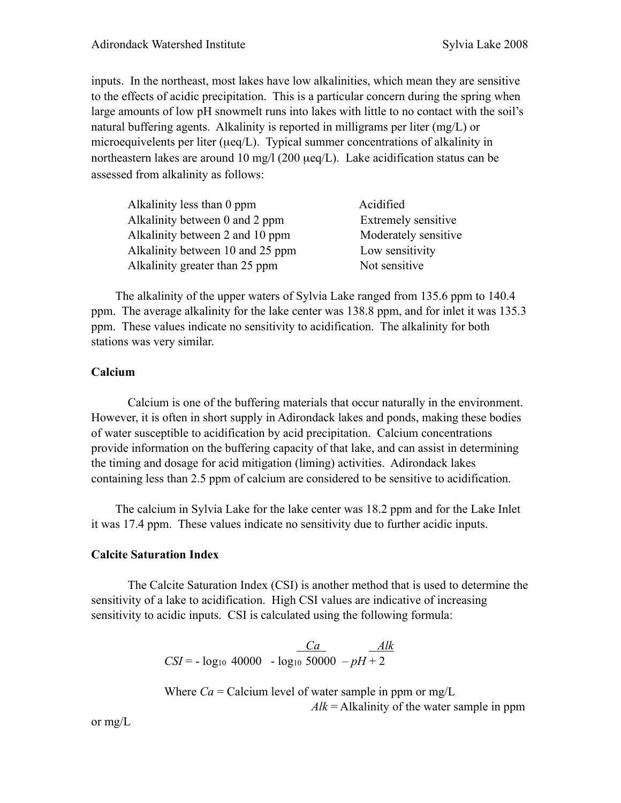inputs. In the northeast, most lakes have low alkalinities, which mean they are sensitive to the effects of acidic precipitation. This is a particular concern during the spring when large amounts of low pH snowmelt runs into lakes with little to no contact with the soil's natural buffering agents. Alkalinity is reported in milligrams per liter (mg/L) or microequivelents per liter ( $\mu$ eq/L). Typical summer concentrations of alkalinity in northeastern lakes are around 10 mg/l (200 µeq/L). Lake acidification status can be assessed from alkalinity as follows:

| Alkalinity less than 0 ppm       | Acidified                  |
|----------------------------------|----------------------------|
| Alkalinity between 0 and 2 ppm   | <b>Extremely sensitive</b> |
| Alkalinity between 2 and 10 ppm  | Moderately sensitive       |
| Alkalinity between 10 and 25 ppm | Low sensitivity            |
| Alkalinity greater than 25 ppm   | Not sensitive              |

 The alkalinity of the upper waters of Sylvia Lake ranged from 135.6 ppm to 140.4 ppm. The average alkalinity for the lake center was 138.8 ppm, and for inlet it was 135.3 ppm. These values indicate no sensitivity to acidification. The alkalinity for both stations was very similar.

#### **Calcium**

Calcium is one of the buffering materials that occur naturally in the environment. However, it is often in short supply in Adirondack lakes and ponds, making these bodies of water susceptible to acidification by acid precipitation. Calcium concentrations provide information on the buffering capacity of that lake, and can assist in determining the timing and dosage for acid mitigation (liming) activities. Adirondack lakes containing less than 2.5 ppm of calcium are considered to be sensitive to acidification.

 The calcium in Sylvia Lake for the lake center was 18.2 ppm and for the Lake Inlet it was 17.4 ppm. These values indicate no sensitivity due to further acidic inputs.

#### **Calcite Saturation Index**

The Calcite Saturation Index (CSI) is another method that is used to determine the sensitivity of a lake to acidification. High CSI values are indicative of increasing sensitivity to acidic inputs. CSI is calculated using the following formula:

> *Ca Alk*  $CSI = - log<sub>10</sub> 40000 - log<sub>10</sub> 50000 - pH + 2$

Where  $Ca =$  Calcium level of water sample in ppm or mg/L  $Alk =$  Alkalinity of the water sample in ppm

or mg/L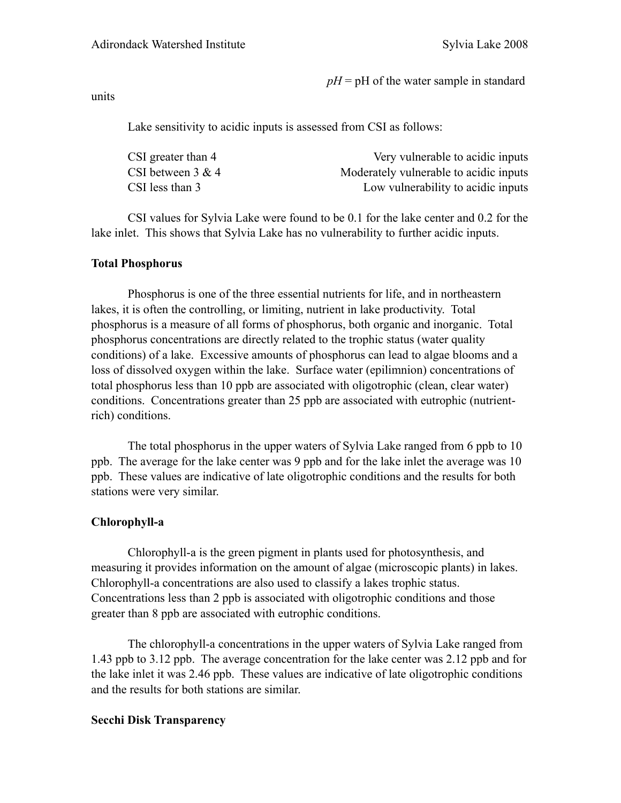$pH = pH$  of the water sample in standard

units

Lake sensitivity to acidic inputs is assessed from CSI as follows:

| CSI greater than 4   | Very vulnerable to acidic inputs       |
|----------------------|----------------------------------------|
| CSI between $3 \& 4$ | Moderately vulnerable to acidic inputs |
| CSI less than 3      | Low vulnerability to acidic inputs     |

CSI values for Sylvia Lake were found to be 0.1 for the lake center and 0.2 for the lake inlet. This shows that Sylvia Lake has no vulnerability to further acidic inputs.

#### **Total Phosphorus**

Phosphorus is one of the three essential nutrients for life, and in northeastern lakes, it is often the controlling, or limiting, nutrient in lake productivity. Total phosphorus is a measure of all forms of phosphorus, both organic and inorganic. Total phosphorus concentrations are directly related to the trophic status (water quality conditions) of a lake. Excessive amounts of phosphorus can lead to algae blooms and a loss of dissolved oxygen within the lake. Surface water (epilimnion) concentrations of total phosphorus less than 10 ppb are associated with oligotrophic (clean, clear water) conditions. Concentrations greater than 25 ppb are associated with eutrophic (nutrientrich) conditions.

The total phosphorus in the upper waters of Sylvia Lake ranged from 6 ppb to 10 ppb. The average for the lake center was 9 ppb and for the lake inlet the average was 10 ppb. These values are indicative of late oligotrophic conditions and the results for both stations were very similar.

#### **Chlorophyll-a**

Chlorophyll-a is the green pigment in plants used for photosynthesis, and measuring it provides information on the amount of algae (microscopic plants) in lakes. Chlorophyll-a concentrations are also used to classify a lakes trophic status. Concentrations less than 2 ppb is associated with oligotrophic conditions and those greater than 8 ppb are associated with eutrophic conditions.

The chlorophyll-a concentrations in the upper waters of Sylvia Lake ranged from 1.43 ppb to 3.12 ppb. The average concentration for the lake center was 2.12 ppb and for the lake inlet it was 2.46 ppb. These values are indicative of late oligotrophic conditions and the results for both stations are similar.

#### **Secchi Disk Transparency**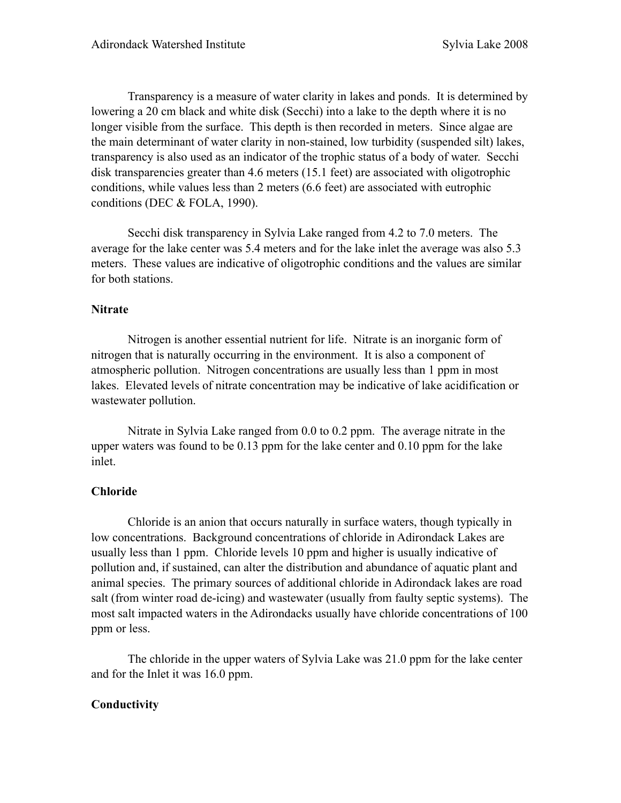Transparency is a measure of water clarity in lakes and ponds. It is determined by lowering a 20 cm black and white disk (Secchi) into a lake to the depth where it is no longer visible from the surface. This depth is then recorded in meters. Since algae are the main determinant of water clarity in non-stained, low turbidity (suspended silt) lakes, transparency is also used as an indicator of the trophic status of a body of water. Secchi disk transparencies greater than 4.6 meters (15.1 feet) are associated with oligotrophic conditions, while values less than 2 meters (6.6 feet) are associated with eutrophic conditions (DEC & FOLA, 1990).

Secchi disk transparency in Sylvia Lake ranged from 4.2 to 7.0 meters. The average for the lake center was 5.4 meters and for the lake inlet the average was also 5.3 meters. These values are indicative of oligotrophic conditions and the values are similar for both stations.

#### **Nitrate**

Nitrogen is another essential nutrient for life. Nitrate is an inorganic form of nitrogen that is naturally occurring in the environment. It is also a component of atmospheric pollution. Nitrogen concentrations are usually less than 1 ppm in most lakes. Elevated levels of nitrate concentration may be indicative of lake acidification or wastewater pollution.

Nitrate in Sylvia Lake ranged from 0.0 to 0.2 ppm. The average nitrate in the upper waters was found to be 0.13 ppm for the lake center and 0.10 ppm for the lake inlet.

#### **Chloride**

Chloride is an anion that occurs naturally in surface waters, though typically in low concentrations. Background concentrations of chloride in Adirondack Lakes are usually less than 1 ppm. Chloride levels 10 ppm and higher is usually indicative of pollution and, if sustained, can alter the distribution and abundance of aquatic plant and animal species. The primary sources of additional chloride in Adirondack lakes are road salt (from winter road de-icing) and wastewater (usually from faulty septic systems). The most salt impacted waters in the Adirondacks usually have chloride concentrations of 100 ppm or less.

The chloride in the upper waters of Sylvia Lake was 21.0 ppm for the lake center and for the Inlet it was 16.0 ppm.

#### **Conductivity**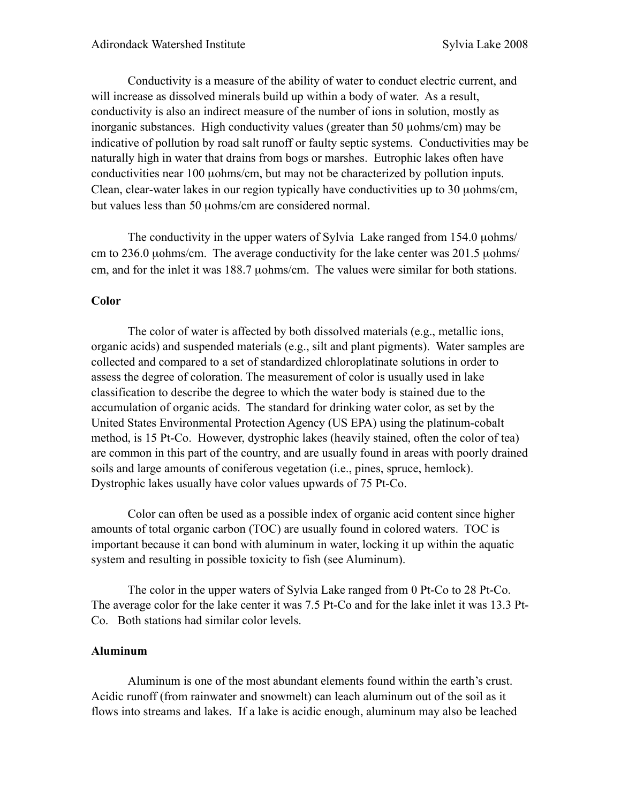Conductivity is a measure of the ability of water to conduct electric current, and will increase as dissolved minerals build up within a body of water. As a result, conductivity is also an indirect measure of the number of ions in solution, mostly as inorganic substances. High conductivity values (greater than 50 µohms/cm) may be indicative of pollution by road salt runoff or faulty septic systems. Conductivities may be naturally high in water that drains from bogs or marshes. Eutrophic lakes often have conductivities near 100 µohms/cm, but may not be characterized by pollution inputs. Clean, clear-water lakes in our region typically have conductivities up to 30 µohms/cm, but values less than 50 µohms/cm are considered normal.

The conductivity in the upper waters of Sylvia Lake ranged from 154.0 uohms/ cm to 236.0 µohms/cm. The average conductivity for the lake center was 201.5 µohms/ cm, and for the inlet it was 188.7 uohms/cm. The values were similar for both stations.

#### **Color**

The color of water is affected by both dissolved materials (e.g., metallic ions, organic acids) and suspended materials (e.g., silt and plant pigments). Water samples are collected and compared to a set of standardized chloroplatinate solutions in order to assess the degree of coloration. The measurement of color is usually used in lake classification to describe the degree to which the water body is stained due to the accumulation of organic acids. The standard for drinking water color, as set by the United States Environmental Protection Agency (US EPA) using the platinum-cobalt method, is 15 Pt-Co. However, dystrophic lakes (heavily stained, often the color of tea) are common in this part of the country, and are usually found in areas with poorly drained soils and large amounts of coniferous vegetation (i.e., pines, spruce, hemlock). Dystrophic lakes usually have color values upwards of 75 Pt-Co.

Color can often be used as a possible index of organic acid content since higher amounts of total organic carbon (TOC) are usually found in colored waters. TOC is important because it can bond with aluminum in water, locking it up within the aquatic system and resulting in possible toxicity to fish (see Aluminum).

The color in the upper waters of Sylvia Lake ranged from 0 Pt-Co to 28 Pt-Co. The average color for the lake center it was 7.5 Pt-Co and for the lake inlet it was 13.3 Pt-Co. Both stations had similar color levels.

#### **Aluminum**

Aluminum is one of the most abundant elements found within the earth's crust. Acidic runoff (from rainwater and snowmelt) can leach aluminum out of the soil as it flows into streams and lakes. If a lake is acidic enough, aluminum may also be leached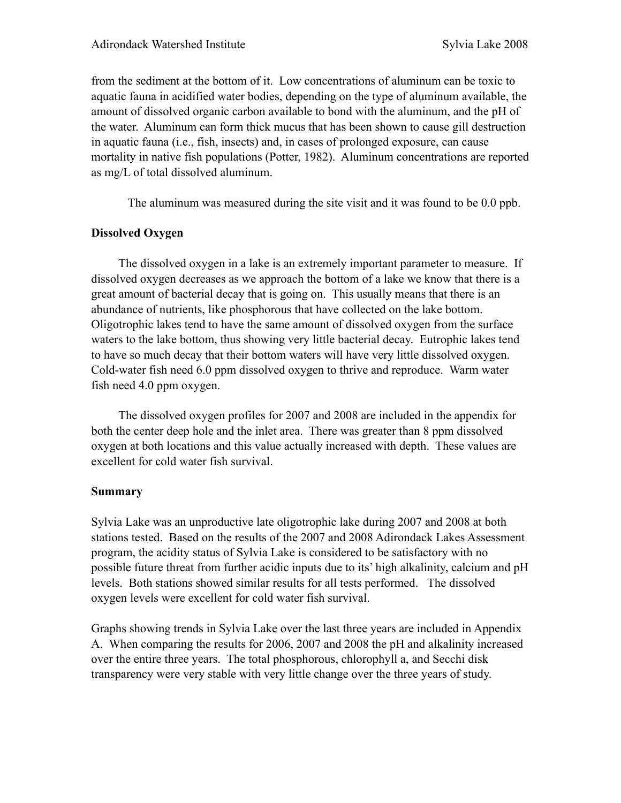from the sediment at the bottom of it. Low concentrations of aluminum can be toxic to aquatic fauna in acidified water bodies, depending on the type of aluminum available, the amount of dissolved organic carbon available to bond with the aluminum, and the pH of the water. Aluminum can form thick mucus that has been shown to cause gill destruction in aquatic fauna (i.e., fish, insects) and, in cases of prolonged exposure, can cause mortality in native fish populations (Potter, 1982). Aluminum concentrations are reported as mg/L of total dissolved aluminum.

The aluminum was measured during the site visit and it was found to be 0.0 ppb.

#### **Dissolved Oxygen**

 The dissolved oxygen in a lake is an extremely important parameter to measure. If dissolved oxygen decreases as we approach the bottom of a lake we know that there is a great amount of bacterial decay that is going on. This usually means that there is an abundance of nutrients, like phosphorous that have collected on the lake bottom. Oligotrophic lakes tend to have the same amount of dissolved oxygen from the surface waters to the lake bottom, thus showing very little bacterial decay. Eutrophic lakes tend to have so much decay that their bottom waters will have very little dissolved oxygen. Cold-water fish need 6.0 ppm dissolved oxygen to thrive and reproduce. Warm water fish need 4.0 ppm oxygen.

 The dissolved oxygen profiles for 2007 and 2008 are included in the appendix for both the center deep hole and the inlet area. There was greater than 8 ppm dissolved oxygen at both locations and this value actually increased with depth. These values are excellent for cold water fish survival.

#### **Summary**

Sylvia Lake was an unproductive late oligotrophic lake during 2007 and 2008 at both stations tested. Based on the results of the 2007 and 2008 Adirondack Lakes Assessment program, the acidity status of Sylvia Lake is considered to be satisfactory with no possible future threat from further acidic inputs due to its' high alkalinity, calcium and pH levels. Both stations showed similar results for all tests performed. The dissolved oxygen levels were excellent for cold water fish survival.

Graphs showing trends in Sylvia Lake over the last three years are included in Appendix A. When comparing the results for 2006, 2007 and 2008 the pH and alkalinity increased over the entire three years. The total phosphorous, chlorophyll a, and Secchi disk transparency were very stable with very little change over the three years of study.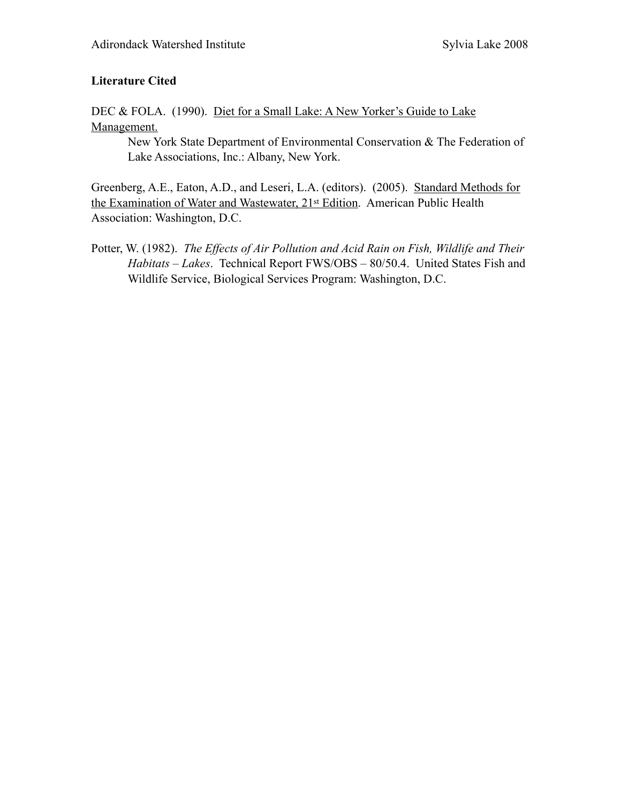## **Literature Cited**

DEC & FOLA. (1990). Diet for a Small Lake: A New Yorker's Guide to Lake Management.

New York State Department of Environmental Conservation & The Federation of Lake Associations, Inc.: Albany, New York.

Greenberg, A.E., Eaton, A.D., and Leseri, L.A. (editors). (2005). Standard Methods for the Examination of Water and Wastewater, 21st Edition. American Public Health Association: Washington, D.C.

Potter, W. (1982). *The Effects of Air Pollution and Acid Rain on Fish, Wildlife and Their Habitats – Lakes*. Technical Report FWS/OBS – 80/50.4. United States Fish and Wildlife Service, Biological Services Program: Washington, D.C.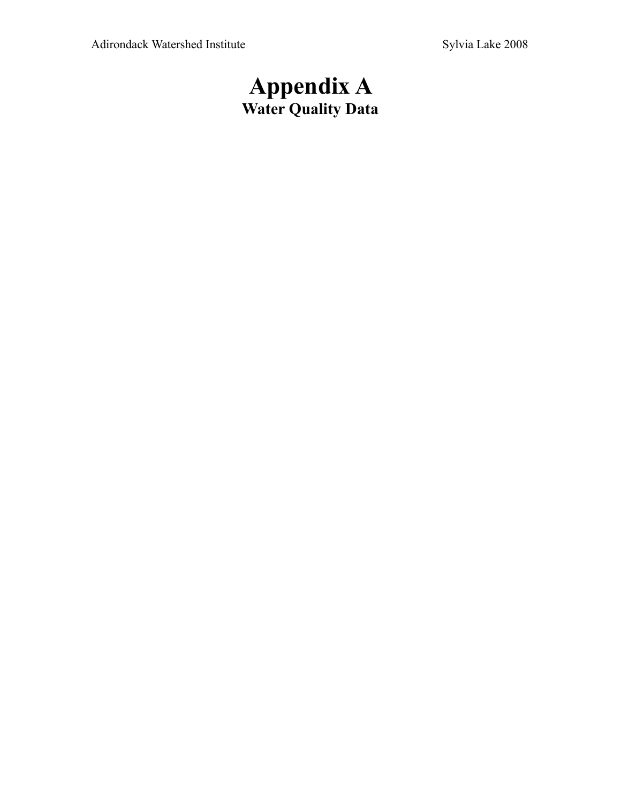# **Appendix A Water Quality Data**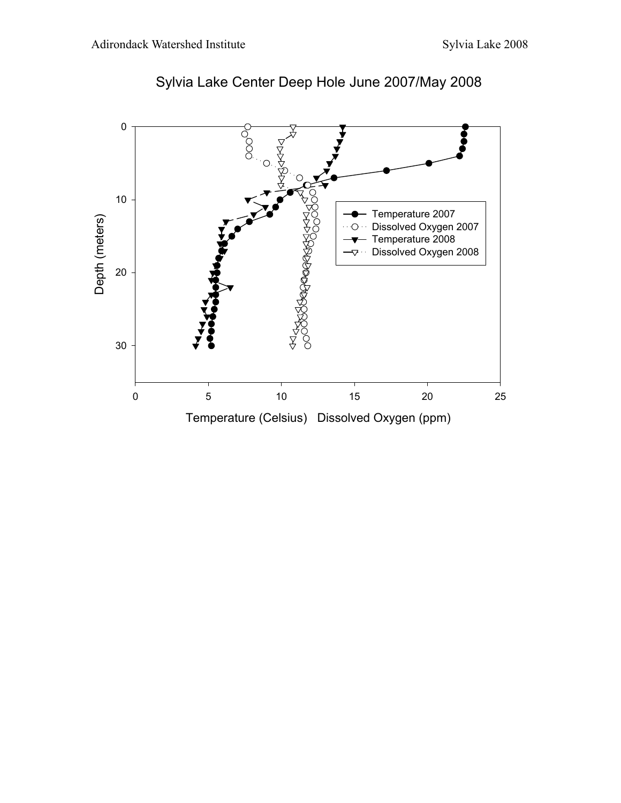

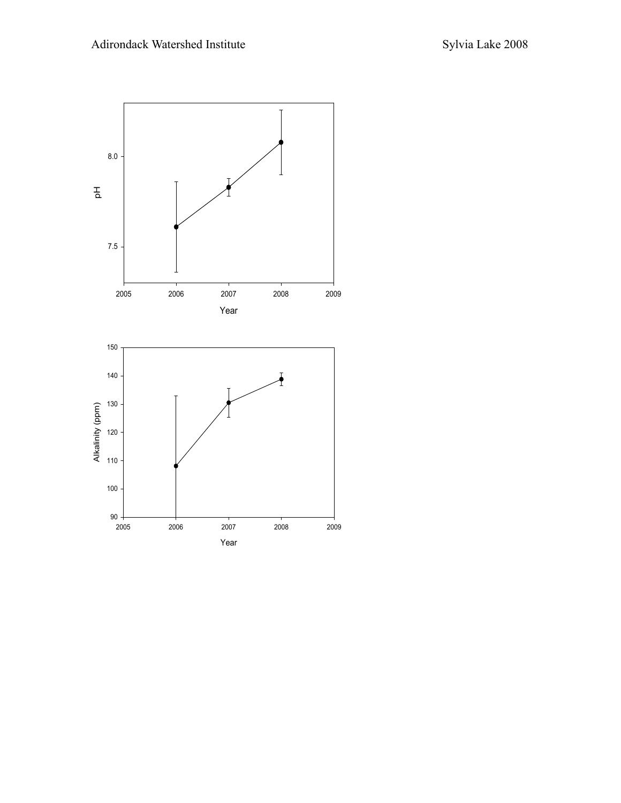## Adirondack Watershed Institute Sylvia Lake 2008

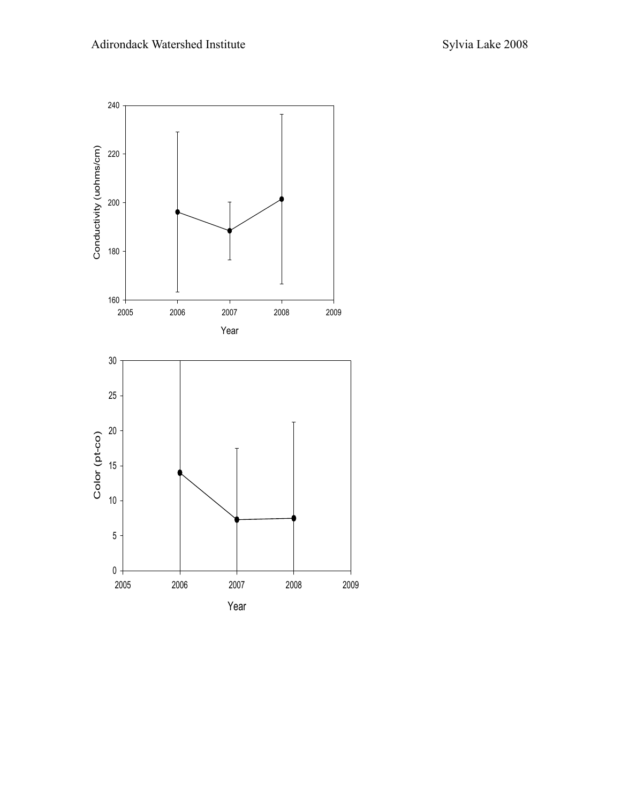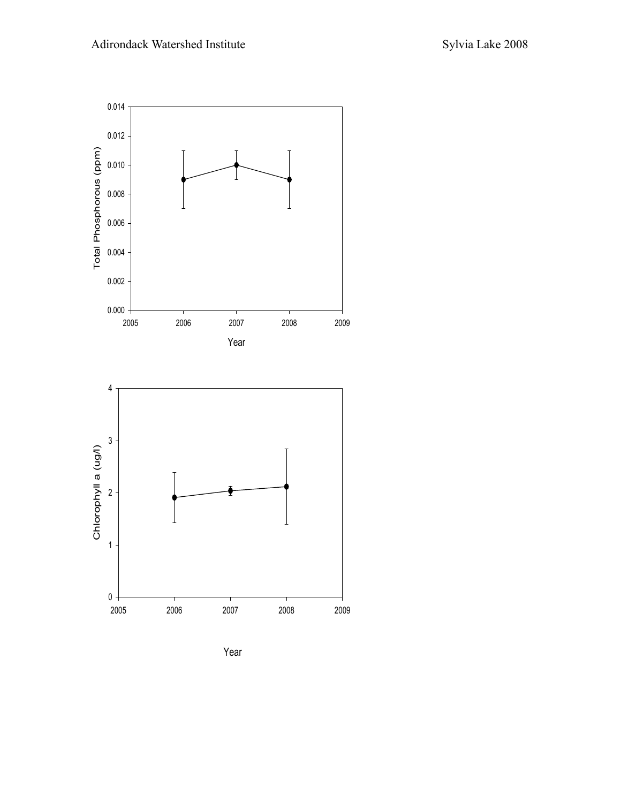

Year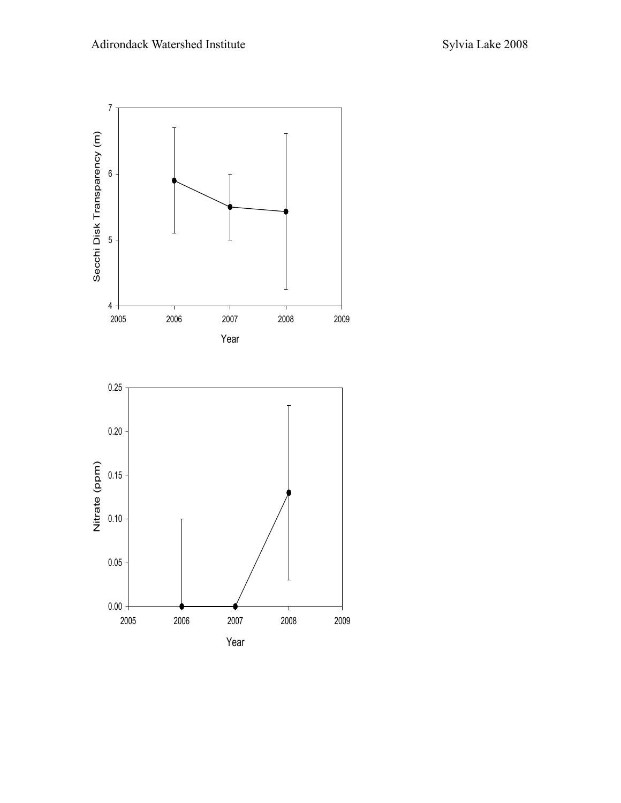